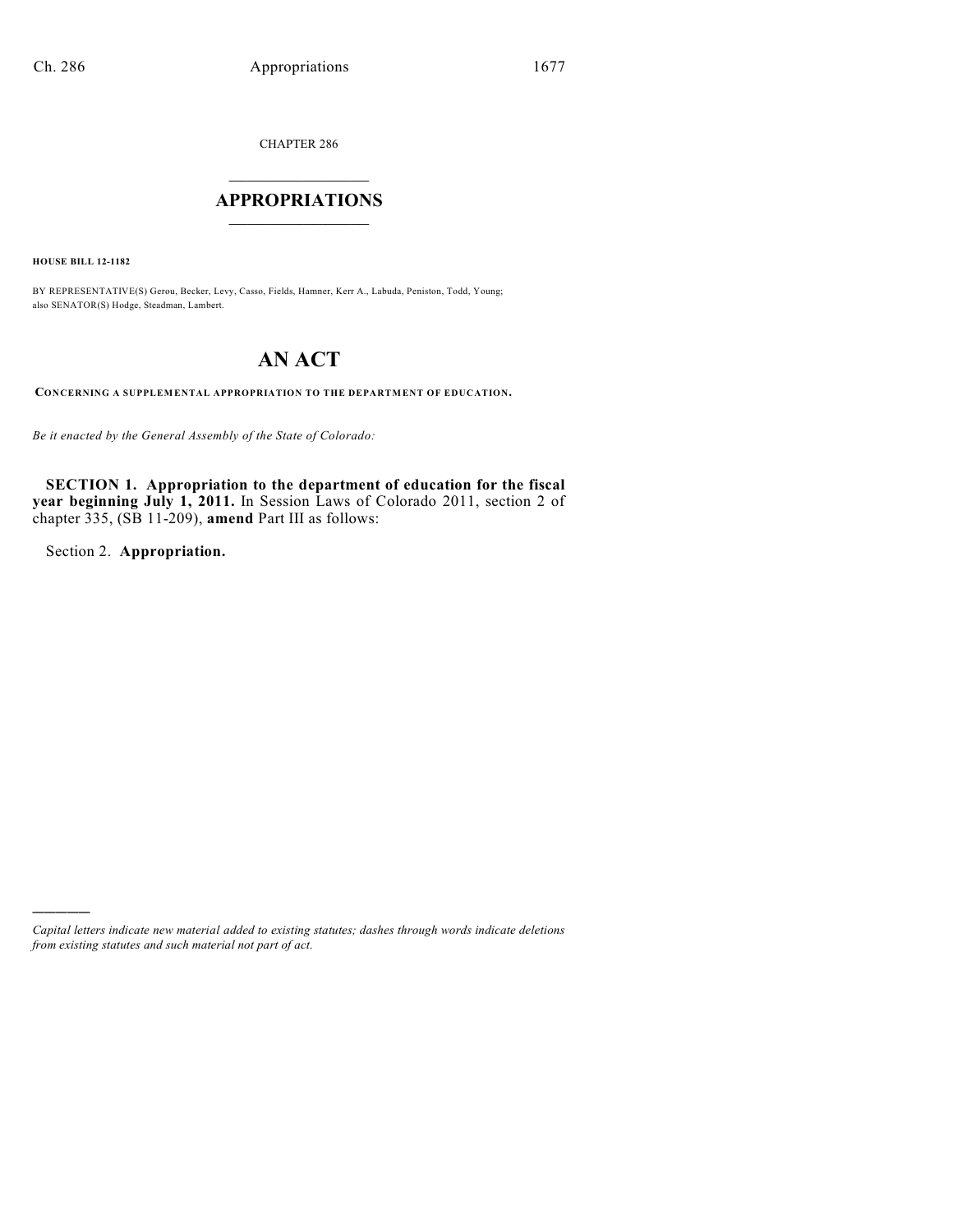CHAPTER 286

# $\overline{\phantom{a}}$  . The set of the set of the set of the set of the set of the set of the set of the set of the set of the set of the set of the set of the set of the set of the set of the set of the set of the set of the set o **APPROPRIATIONS**  $\_$   $\_$   $\_$   $\_$   $\_$   $\_$   $\_$   $\_$

**HOUSE BILL 12-1182**

BY REPRESENTATIVE(S) Gerou, Becker, Levy, Casso, Fields, Hamner, Kerr A., Labuda, Peniston, Todd, Young; also SENATOR(S) Hodge, Steadman, Lambert.

# **AN ACT**

**CONCERNING A SUPPLEMENTAL APPROPRIATION TO THE DEPARTMENT OF EDUCATION.**

*Be it enacted by the General Assembly of the State of Colorado:*

**SECTION 1. Appropriation to the department of education for the fiscal year beginning July 1, 2011.** In Session Laws of Colorado 2011, section 2 of chapter 335, (SB 11-209), **amend** Part III as follows:

Section 2. **Appropriation.**

)))))

*Capital letters indicate new material added to existing statutes; dashes through words indicate deletions from existing statutes and such material not part of act.*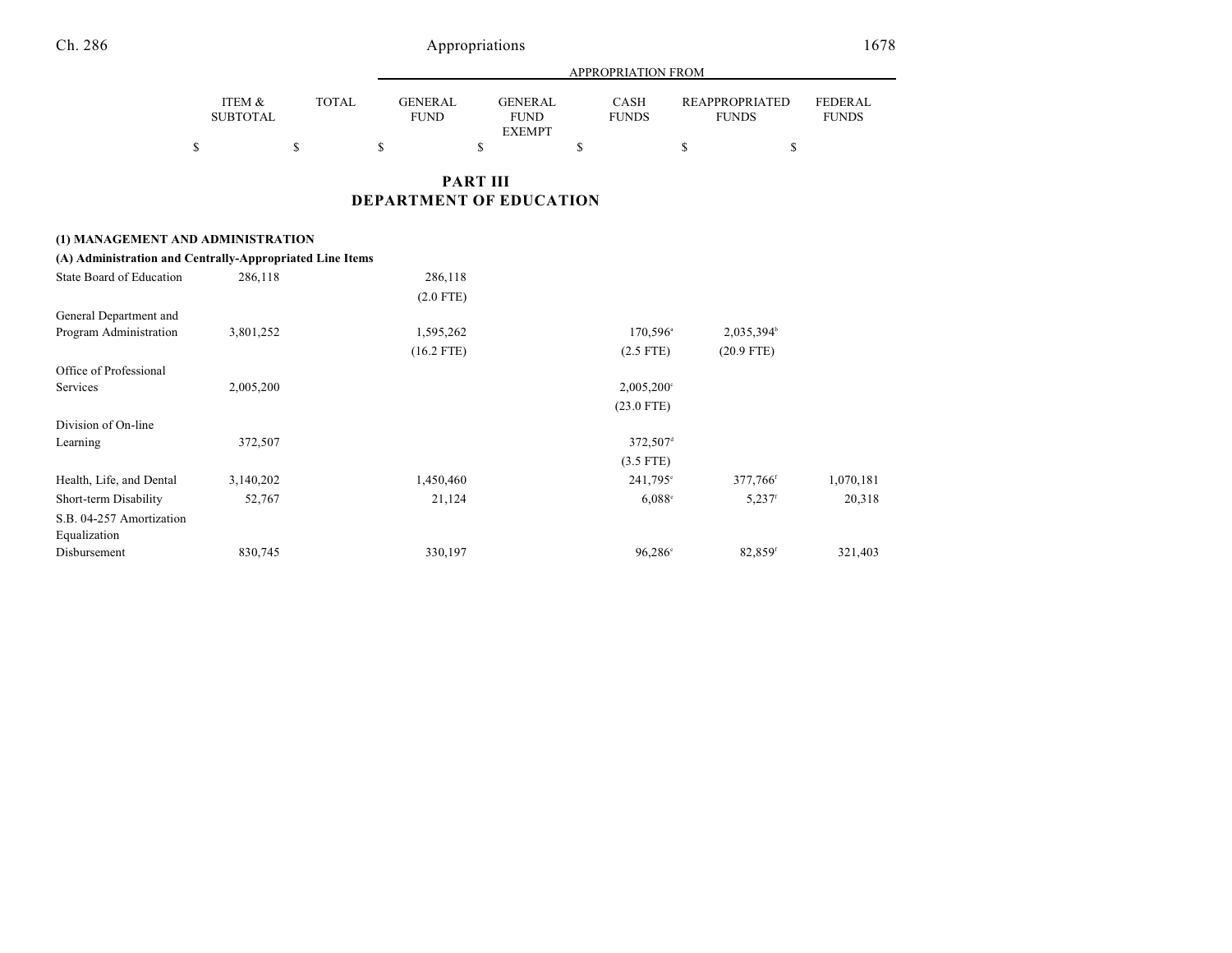|                           |              |                               |                               | APPROPRIATION FROM   |                                       |                                |
|---------------------------|--------------|-------------------------------|-------------------------------|----------------------|---------------------------------------|--------------------------------|
| ITEM &<br><b>SUBTOTAL</b> | <b>TOTAL</b> | <b>GENERAL</b><br><b>FUND</b> | <b>GENERAL</b><br><b>FUND</b> | CASH<br><b>FUNDS</b> | <b>REAPPROPRIATED</b><br><b>FUNDS</b> | <b>FEDERAL</b><br><b>FUNDS</b> |
|                           |              |                               | <b>EXEMPT</b>                 |                      |                                       |                                |
|                           |              |                               |                               |                      |                                       |                                |

## **PART III DEPARTMENT OF EDUCATION**

| (1) MANAGEMENT AND ADMINISTRATION                        |           |              |                        |                       |           |
|----------------------------------------------------------|-----------|--------------|------------------------|-----------------------|-----------|
| (A) Administration and Centrally-Appropriated Line Items |           |              |                        |                       |           |
| State Board of Education                                 | 286,118   | 286,118      |                        |                       |           |
|                                                          |           | $(2.0$ FTE)  |                        |                       |           |
| General Department and                                   |           |              |                        |                       |           |
| Program Administration                                   | 3,801,252 | 1,595,262    | 170,596 <sup>a</sup>   | 2,035,394             |           |
|                                                          |           | $(16.2$ FTE) | $(2.5$ FTE)            | $(20.9$ FTE)          |           |
| Office of Professional                                   |           |              |                        |                       |           |
| Services                                                 | 2,005,200 |              | $2,005,200^{\circ}$    |                       |           |
|                                                          |           |              | $(23.0$ FTE)           |                       |           |
| Division of On-line                                      |           |              |                        |                       |           |
| Learning                                                 | 372,507   |              | $372,507$ <sup>d</sup> |                       |           |
|                                                          |           |              | $(3.5$ FTE)            |                       |           |
| Health, Life, and Dental                                 | 3,140,202 | 1,450,460    | $241,795^{\circ}$      | 377,766 <sup>f</sup>  | 1,070,181 |
| Short-term Disability                                    | 52,767    | 21,124       | $6,088^{\circ}$        | $5,237$ <sup>f</sup>  | 20,318    |
| S.B. 04-257 Amortization                                 |           |              |                        |                       |           |
| Equalization                                             |           |              |                        |                       |           |
| Disbursement                                             | 830,745   | 330,197      | $96,286^{\circ}$       | $82,859$ <sup>f</sup> | 321,403   |
|                                                          |           |              |                        |                       |           |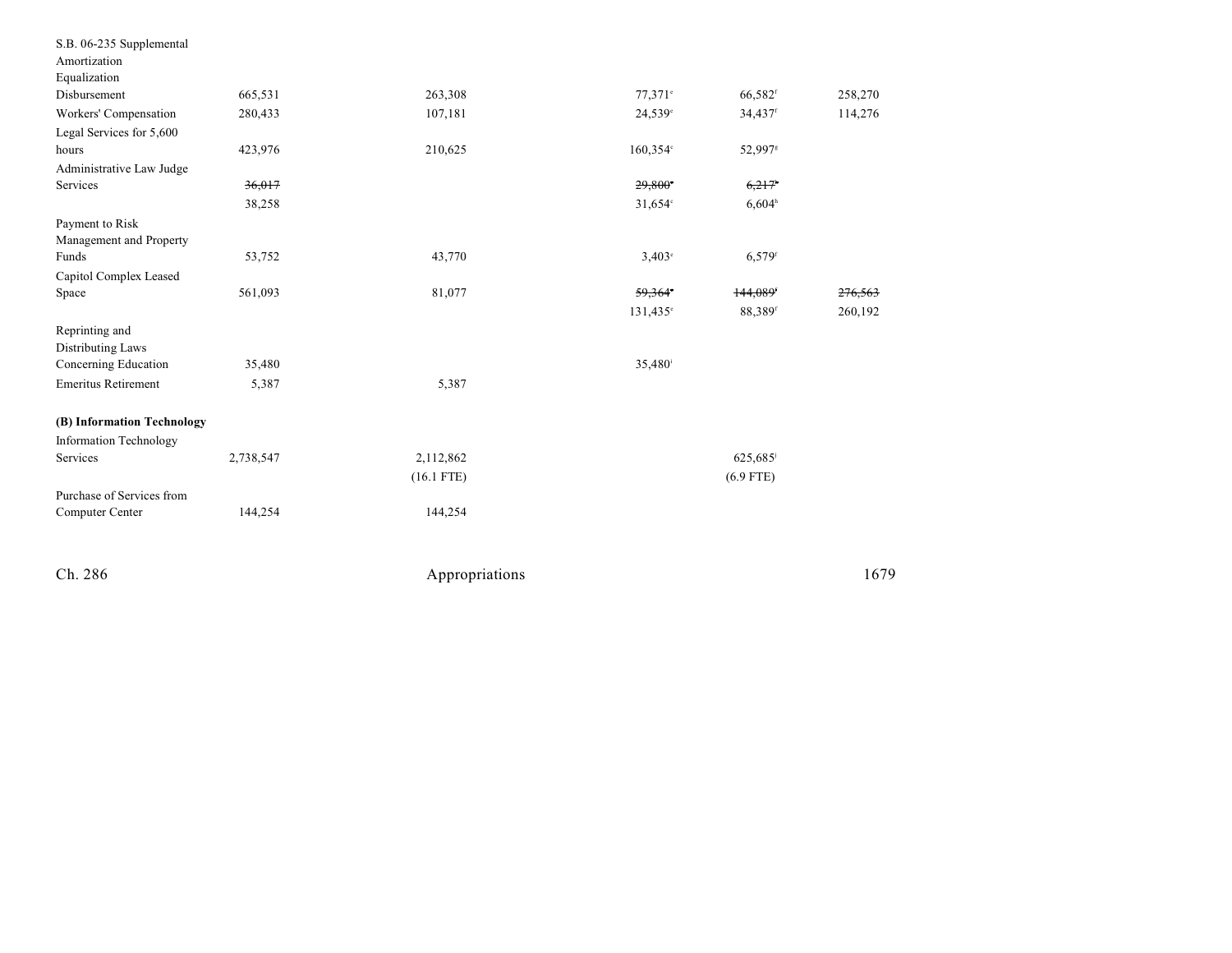| S.B. 06-235 Supplemental   |           |              |                     |                      |         |
|----------------------------|-----------|--------------|---------------------|----------------------|---------|
| Amortization               |           |              |                     |                      |         |
| Equalization               |           |              |                     |                      |         |
| Disbursement               | 665,531   | 263,308      | $77.371$ °          | 66,582f              | 258,270 |
| Workers' Compensation      | 280,433   | 107,181      | 24,539 <sup>e</sup> | 34,437 <sup>f</sup>  | 114,276 |
| Legal Services for 5,600   |           |              |                     |                      |         |
| hours                      | 423,976   | 210,625      | 160,354°            | 52,997 <sup>s</sup>  |         |
| Administrative Law Judge   |           |              |                     |                      |         |
| Services                   | 36,017    |              | 29,800°             | 6,217                |         |
|                            | 38,258    |              | $31,654$ °          | 6,604 <sup>h</sup>   |         |
| Payment to Risk            |           |              |                     |                      |         |
| Management and Property    |           |              |                     |                      |         |
| Funds                      | 53,752    | 43,770       | $3,403^{\circ}$     | $6,579$ <sup>f</sup> |         |
| Capitol Complex Leased     |           |              |                     |                      |         |
| Space                      | 561,093   | 81,077       | 59,364              | 144,089              | 276,563 |
|                            |           |              | $131,435^{\circ}$   | 88,389f              | 260,192 |
| Reprinting and             |           |              |                     |                      |         |
| Distributing Laws          |           |              |                     |                      |         |
| Concerning Education       | 35,480    |              | 35,480 <sup>i</sup> |                      |         |
| <b>Emeritus Retirement</b> | 5,387     | 5,387        |                     |                      |         |
| (B) Information Technology |           |              |                     |                      |         |
| Information Technology     |           |              |                     |                      |         |
| Services                   | 2,738,547 | 2,112,862    |                     | 625,685              |         |
|                            |           | $(16.1$ FTE) |                     | $(6.9$ FTE)          |         |
| Purchase of Services from  |           |              |                     |                      |         |
| Computer Center            | 144,254   | 144,254      |                     |                      |         |
|                            |           |              |                     |                      |         |
|                            |           |              |                     |                      |         |
|                            |           |              |                     |                      |         |

Appropriations

1 6 7 9

Ch. 286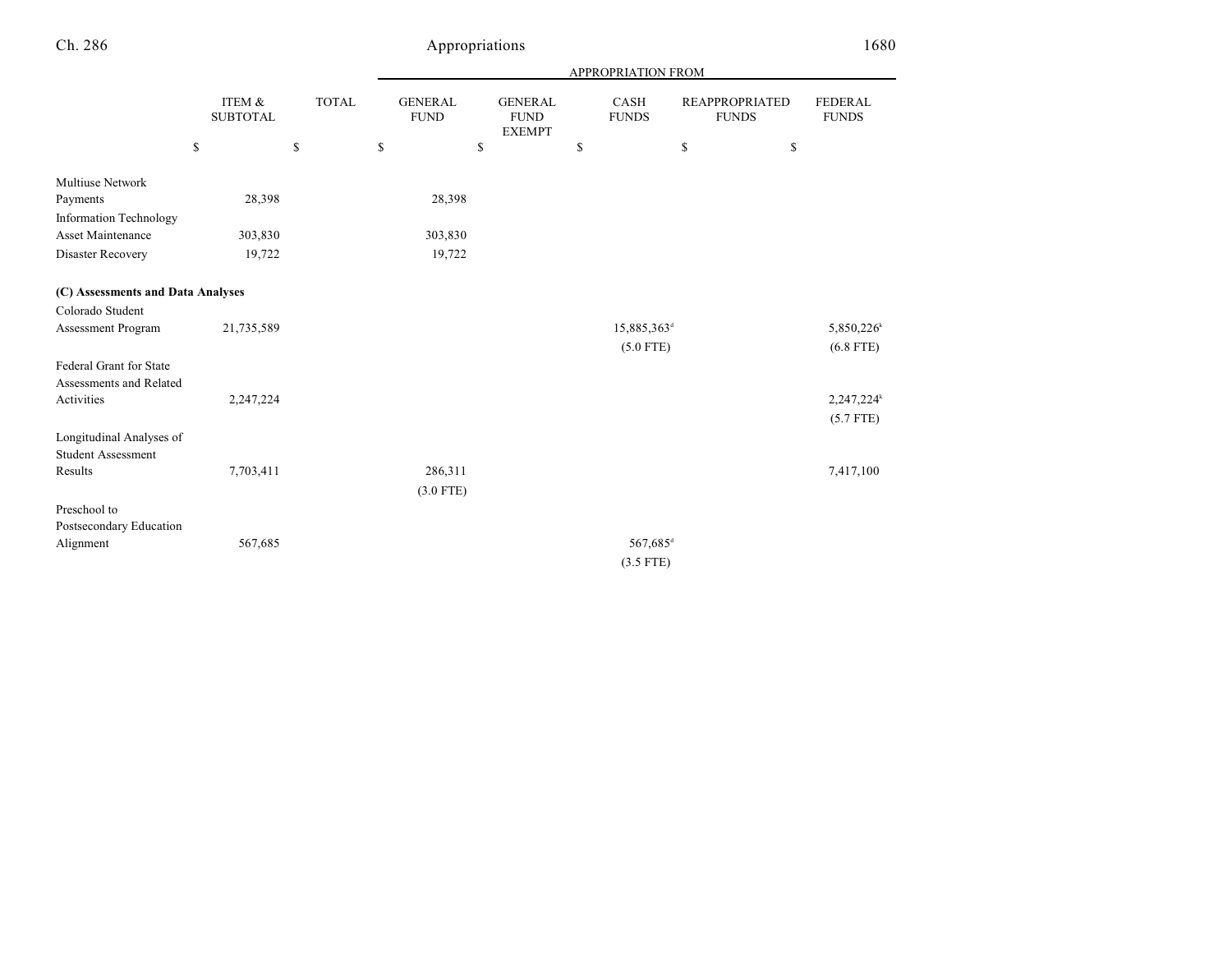|                                   |                           |              |                               |                                                | APPROPRIATION FROM      |                                       |                                |
|-----------------------------------|---------------------------|--------------|-------------------------------|------------------------------------------------|-------------------------|---------------------------------------|--------------------------------|
|                                   | ITEM &<br><b>SUBTOTAL</b> | <b>TOTAL</b> | <b>GENERAL</b><br><b>FUND</b> | <b>GENERAL</b><br><b>FUND</b><br><b>EXEMPT</b> | CASH<br><b>FUNDS</b>    | <b>REAPPROPRIATED</b><br><b>FUNDS</b> | <b>FEDERAL</b><br><b>FUNDS</b> |
|                                   | \$                        | \$           | \$                            | \$                                             | \$                      | \$<br>\$                              |                                |
| <b>Multiuse Network</b>           |                           |              |                               |                                                |                         |                                       |                                |
| Payments                          | 28,398                    |              | 28,398                        |                                                |                         |                                       |                                |
| <b>Information Technology</b>     |                           |              |                               |                                                |                         |                                       |                                |
| <b>Asset Maintenance</b>          | 303,830                   |              | 303,830                       |                                                |                         |                                       |                                |
| Disaster Recovery                 | 19,722                    |              | 19,722                        |                                                |                         |                                       |                                |
| (C) Assessments and Data Analyses |                           |              |                               |                                                |                         |                                       |                                |
| Colorado Student                  |                           |              |                               |                                                |                         |                                       |                                |
| Assessment Program                | 21,735,589                |              |                               |                                                | 15,885,363 <sup>d</sup> |                                       | 5,850,226 <sup>k</sup>         |
|                                   |                           |              |                               |                                                | $(5.0$ FTE)             |                                       | $(6.8$ FTE)                    |
| Federal Grant for State           |                           |              |                               |                                                |                         |                                       |                                |
| Assessments and Related           |                           |              |                               |                                                |                         |                                       |                                |
| Activities                        | 2,247,224                 |              |                               |                                                |                         |                                       | 2,247,224 <sup>k</sup>         |
|                                   |                           |              |                               |                                                |                         |                                       | $(5.7$ FTE)                    |
| Longitudinal Analyses of          |                           |              |                               |                                                |                         |                                       |                                |
| <b>Student Assessment</b>         |                           |              |                               |                                                |                         |                                       |                                |
| Results                           | 7,703,411                 |              | 286,311                       |                                                |                         |                                       | 7,417,100                      |
|                                   |                           |              | $(3.0$ FTE)                   |                                                |                         |                                       |                                |
| Preschool to                      |                           |              |                               |                                                |                         |                                       |                                |
| Postsecondary Education           |                           |              |                               |                                                |                         |                                       |                                |
| Alignment                         | 567,685                   |              |                               |                                                | 567,685 <sup>d</sup>    |                                       |                                |
|                                   |                           |              |                               |                                                | $(3.5$ FTE)             |                                       |                                |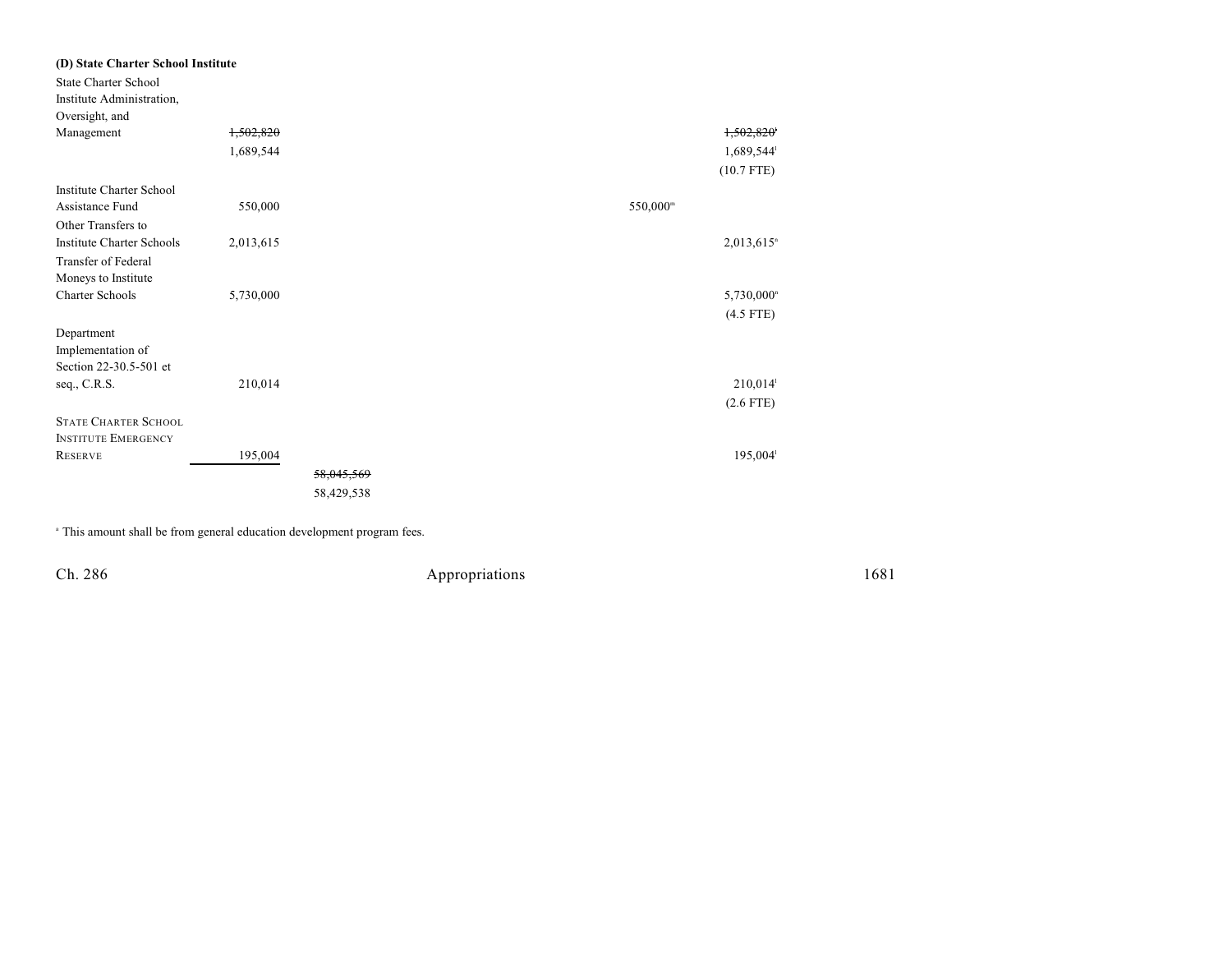| (D) State Charter School Institute |           |                       |                      |                          |
|------------------------------------|-----------|-----------------------|----------------------|--------------------------|
| <b>State Charter School</b>        |           |                       |                      |                          |
| Institute Administration,          |           |                       |                      |                          |
| Oversight, and                     |           |                       |                      |                          |
| Management                         | 1,502,820 |                       |                      | 1,502,820                |
|                                    | 1,689,544 |                       |                      | 1,689,544                |
|                                    |           |                       |                      | $(10.7$ FTE)             |
| Institute Charter School           |           |                       |                      |                          |
| Assistance Fund                    | 550,000   |                       | 550,000 <sup>m</sup> |                          |
| Other Transfers to                 |           |                       |                      |                          |
| <b>Institute Charter Schools</b>   | 2,013,615 |                       |                      | $2,013,615$ <sup>n</sup> |
| Transfer of Federal                |           |                       |                      |                          |
| Moneys to Institute                |           |                       |                      |                          |
| <b>Charter Schools</b>             | 5,730,000 |                       |                      | 5,730,000 <sup>n</sup>   |
|                                    |           |                       |                      | $(4.5$ FTE)              |
| Department                         |           |                       |                      |                          |
| Implementation of                  |           |                       |                      |                          |
| Section 22-30.5-501 et             |           |                       |                      |                          |
| seq., C.R.S.                       | 210,014   |                       |                      | 210,014                  |
|                                    |           |                       |                      | $(2.6$ FTE)              |
| <b>STATE CHARTER SCHOOL</b>        |           |                       |                      |                          |
| <b>INSTITUTE EMERGENCY</b>         |           |                       |                      |                          |
| <b>RESERVE</b>                     | 195,004   |                       |                      | $195,004$ <sup>1</sup>   |
|                                    |           | <del>58,045,569</del> |                      |                          |
|                                    |           | 58,429,538            |                      |                          |

<sup>a</sup> This amount shall be from general education development program fees.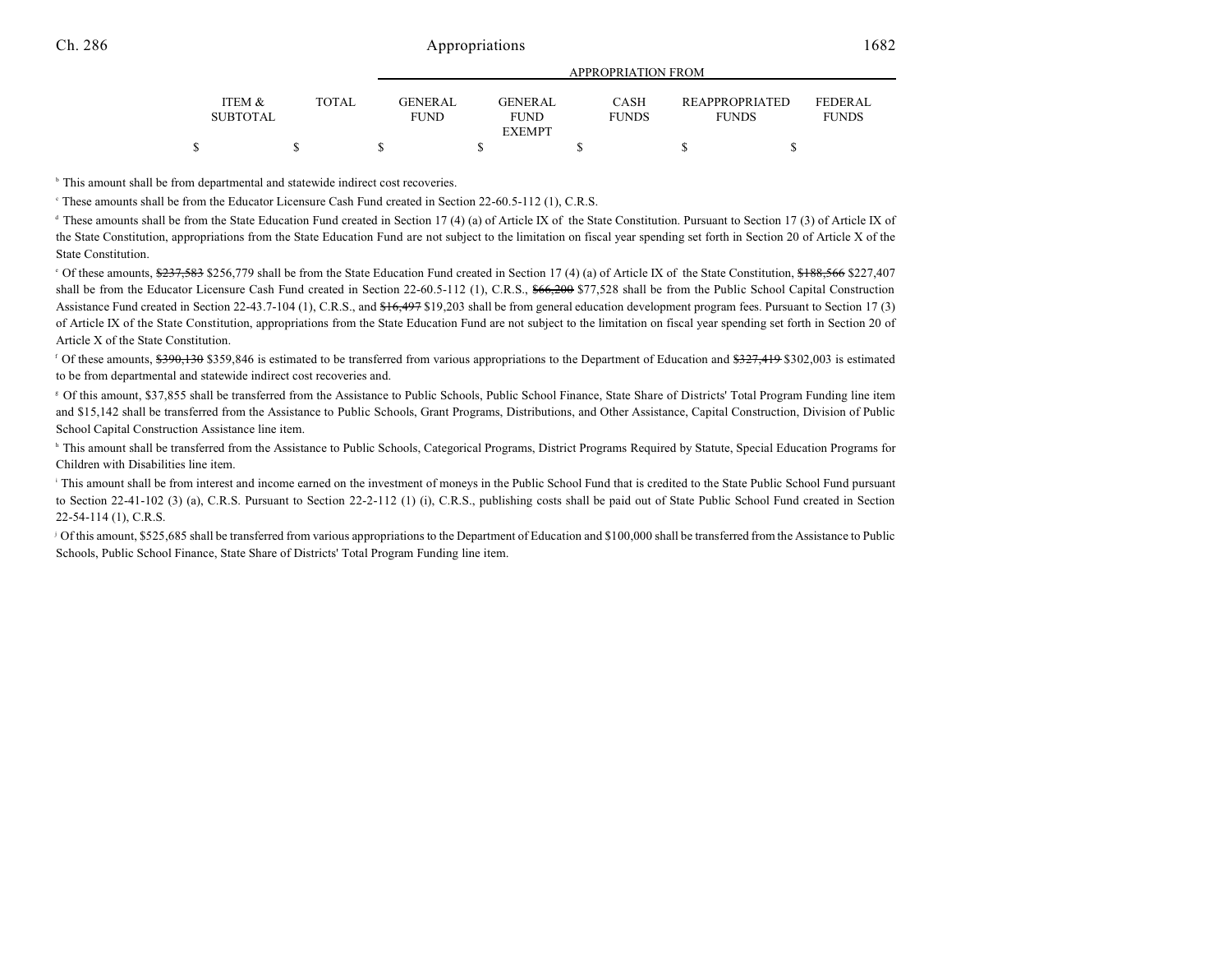|                           |              | <u>IN LIVELIM HIVIT LIVE</u> |                                   |                             |                                       |                                |  |  |
|---------------------------|--------------|------------------------------|-----------------------------------|-----------------------------|---------------------------------------|--------------------------------|--|--|
| ITEM &<br><b>SUBTOTAL</b> | <b>TOTAL</b> | GENER AL.<br><b>FUND</b>     | GENER AL<br>FUND<br><b>EXEMPT</b> | <b>CASH</b><br><b>FUNDS</b> | <b>REAPPROPRIATED</b><br><b>FUNDS</b> | <b>FEDERAL</b><br><b>FUNDS</b> |  |  |
|                           |              |                              |                                   |                             |                                       |                                |  |  |
|                           |              |                              |                                   |                             |                                       |                                |  |  |

APPROPRIATION FROM

<sup>b</sup> This amount shall be from departmental and statewide indirect cost recoveries.

These amounts shall be from the Educator Licensure Cash Fund created in Section 22-60.5-112 (1), C.R.S. <sup>c</sup>

 $\alpha$  These amounts shall be from the State Education Fund created in Section 17 (4) (a) of Article IX of the State Constitution. Pursuant to Section 17 (3) of Article IX of the State Constitution, appropriations from the State Education Fund are not subject to the limitation on fiscal year spending set forth in Section 20 of Article X of the State Constitution.

<sup>o</sup> Of these amounts, \$237,583 \$256,779 shall be from the State Education Fund created in Section 17 (4) (a) of Article IX of the State Constitution, \$188,566 \$227,407 shall be from the Educator Licensure Cash Fund created in Section 22-60.5-112 (1), C.R.S., \$66,200 \$77,528 shall be from the Public School Capital Construction Assistance Fund created in Section 22-43.7-104 (1), C.R.S., and \$16,497 \$19,203 shall be from general education development program fees. Pursuant to Section 17 (3) of Article IX of the State Constitution, appropriations from the State Education Fund are not subject to the limitation on fiscal year spending set forth in Section 20 of Article X of the State Constitution.

<sup>f</sup> Of these amounts, \$390,130 \$359,846 is estimated to be transferred from various appropriations to the Department of Education and \$327,419 \$302,003 is estimated to be from departmental and statewide indirect cost recoveries and.

Of this amount, \$37,855 shall be transferred from the Assistance to Public Schools, Public School Finance, State Share of Districts' Total Program Funding line item <sup>g</sup> and \$15,142 shall be transferred from the Assistance to Public Schools, Grant Programs, Distributions, and Other Assistance, Capital Construction, Division of Public School Capital Construction Assistance line item.

<sup>h</sup> This amount shall be transferred from the Assistance to Public Schools, Categorical Programs, District Programs Required by Statute, Special Education Programs for Children with Disabilities line item.

<sup>1</sup> This amount shall be from interest and income earned on the investment of moneys in the Public School Fund that is credited to the State Public School Fund pursuant to Section 22-41-102 (3) (a), C.R.S. Pursuant to Section 22-2-112 (1) (i), C.R.S., publishing costs shall be paid out of State Public School Fund created in Section 22-54-114 (1), C.R.S.

<sup>1</sup> Of this amount, \$525,685 shall be transferred from various appropriations to the Department of Education and \$100,000 shall be transferred from the Assistance to Public Schools, Public School Finance, State Share of Districts' Total Program Funding line item.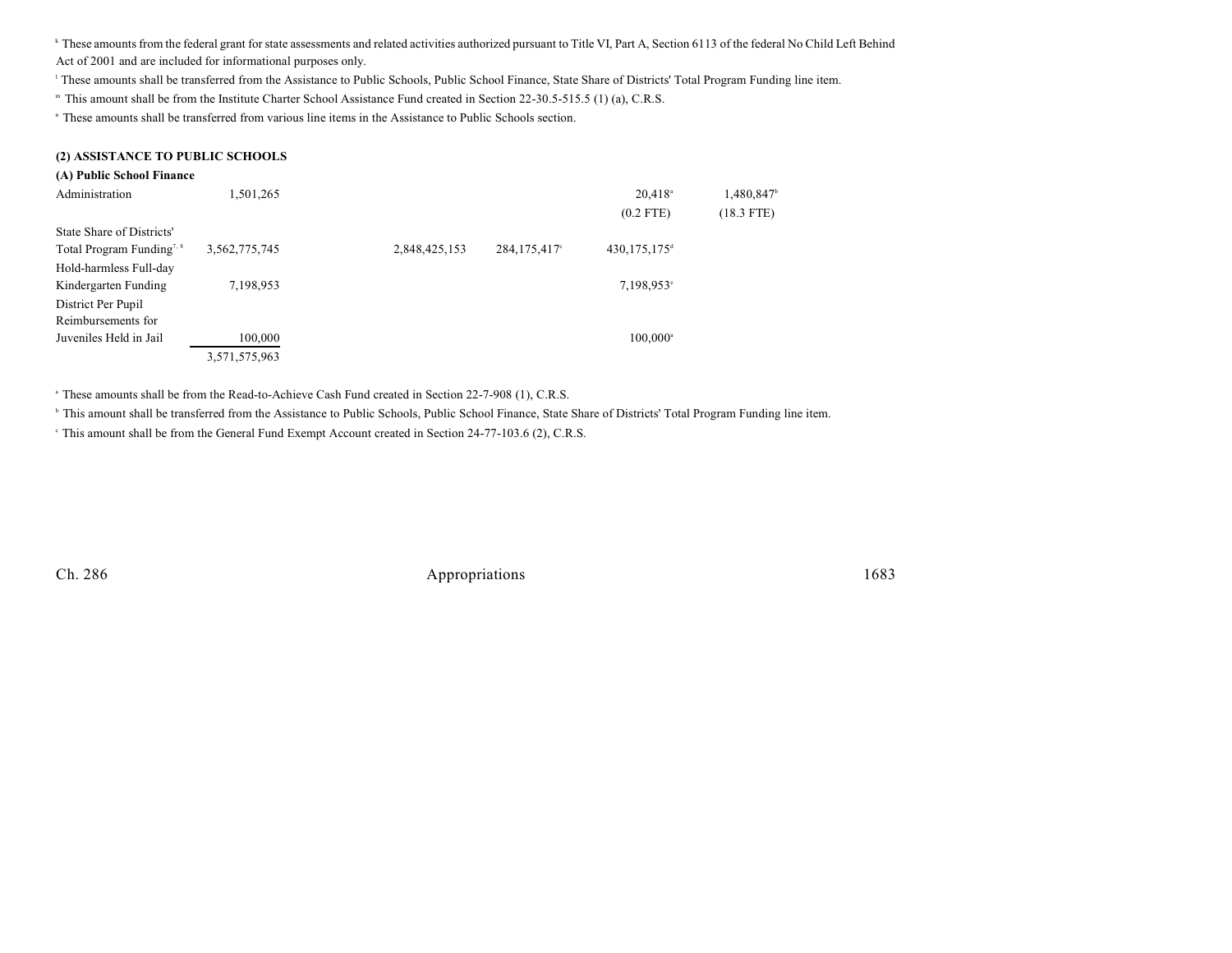k These amounts from the federal grant for state assessments and related activities authorized pursuant to Title VI, Part A, Section 6113 of the federal No Child Left Behind Act of 2001 and are included for informational purposes only.

<sup>1</sup> These amounts shall be transferred from the Assistance to Public Schools, Public School Finance, State Share of Districts' Total Program Funding line item.

" This amount shall be from the Institute Charter School Assistance Fund created in Section 22-30.5-515.5 (1) (a), C.R.S.

These amounts shall be transferred from various line items in the Assistance to Public Schools section. n

### **(2) ASSISTANCE TO PUBLIC SCHOOLS**

### **(A) Public School Finance**

| Administration                        | 1,501,265     |               |              | $20,418$ <sup>a</sup>    | 1,480,847    |
|---------------------------------------|---------------|---------------|--------------|--------------------------|--------------|
|                                       |               |               |              | $(0.2$ FTE)              | $(18.3$ FTE) |
| State Share of Districts'             |               |               |              |                          |              |
| Total Program Funding <sup>7, 8</sup> | 3,562,775,745 | 2,848,425,153 | 284,175,417° | 430,175,175 <sup>d</sup> |              |
| Hold-harmless Full-day                |               |               |              |                          |              |
| Kindergarten Funding                  | 7,198,953     |               |              | $7,198,953$ °            |              |
| District Per Pupil                    |               |               |              |                          |              |
| Reimbursements for                    |               |               |              |                          |              |
| Juveniles Held in Jail                | 100,000       |               |              | $100,000^{\circ}$        |              |
|                                       | 3,571,575,963 |               |              |                          |              |

<sup>a</sup> These amounts shall be from the Read-to-Achieve Cash Fund created in Section 22-7-908 (1), C.R.S.

<sup>b</sup> This amount shall be transferred from the Assistance to Public Schools, Public School Finance, State Share of Districts' Total Program Funding line item.

This amount shall be from the General Fund Exempt Account created in Section 24-77-103.6 (2), C.R.S. <sup>c</sup>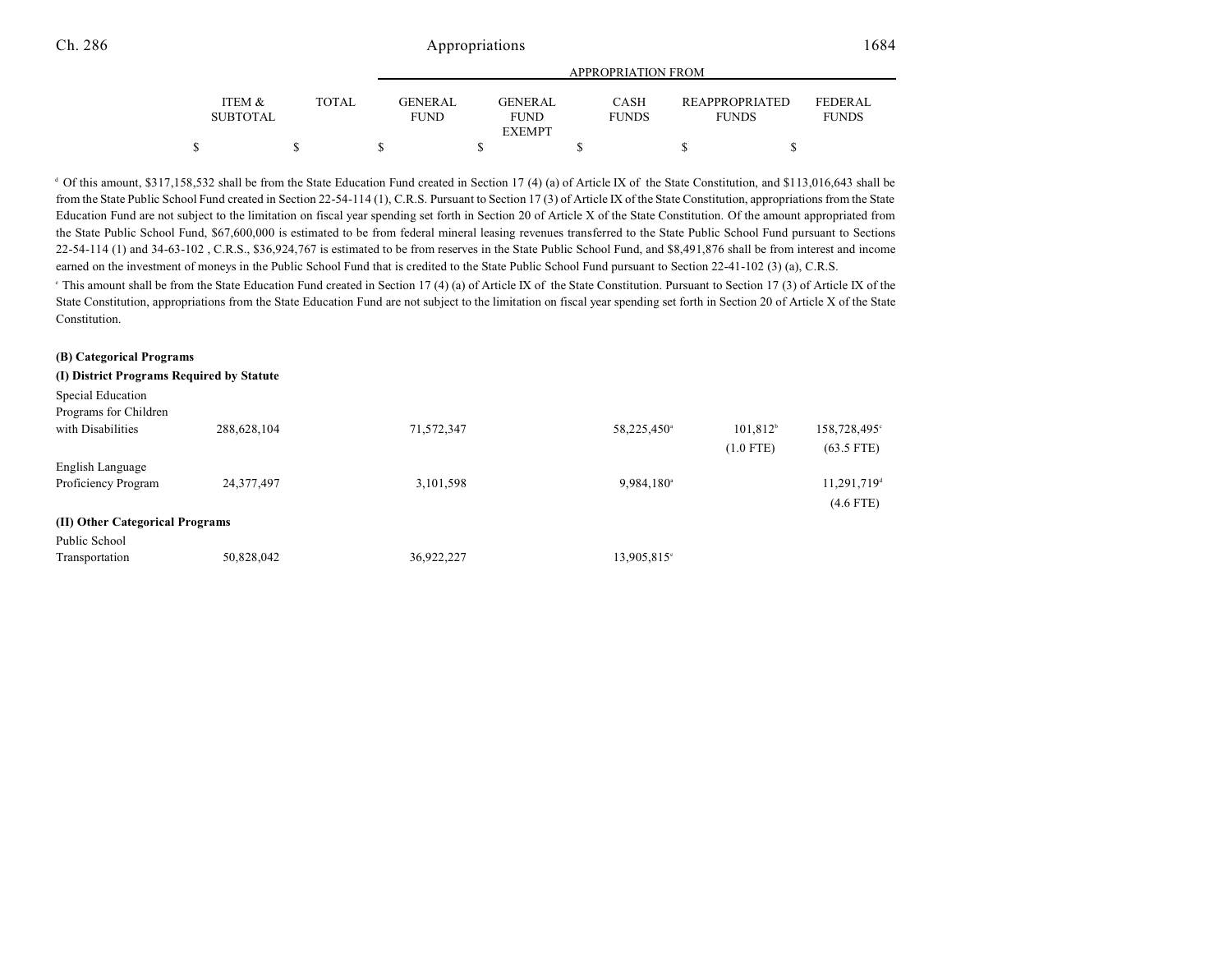|                                      |       | APPROPRIATION FROM             |  |                                |  |                             |  |                                       |  |                                |
|--------------------------------------|-------|--------------------------------|--|--------------------------------|--|-----------------------------|--|---------------------------------------|--|--------------------------------|
| <b>ITEM &amp;</b><br><b>SUBTOTAL</b> | TOTAL | <b>GENER AL</b><br><b>FUND</b> |  | <b>GENER AL</b><br><b>FUND</b> |  | <b>CASH</b><br><b>FUNDS</b> |  | <b>REAPPROPRIATED</b><br><b>FUNDS</b> |  | <b>FEDERAL</b><br><b>FUNDS</b> |
|                                      |       |                                |  | <b>EXEMPT</b>                  |  |                             |  |                                       |  |                                |
|                                      |       |                                |  |                                |  |                             |  |                                       |  |                                |

 $\alpha$  Of this amount, \$317,158,532 shall be from the State Education Fund created in Section 17 (4) (a) of Article IX of the State Constitution, and \$113,016,643 shall be from the State Public School Fund created in Section 22-54-114 (1), C.R.S. Pursuant to Section 17 (3) of Article IX of the State Constitution, appropriations from the State Education Fund are not subject to the limitation on fiscal year spending set forth in Section 20 of Article X of the State Constitution. Of the amount appropriated from the State Public School Fund, \$67,600,000 is estimated to be from federal mineral leasing revenues transferred to the State Public School Fund pursuant to Sections 22-54-114 (1) and 34-63-102 , C.R.S., \$36,924,767 is estimated to be from reserves in the State Public School Fund, and \$8,491,876 shall be from interest and income earned on the investment of moneys in the Public School Fund that is credited to the State Public School Fund pursuant to Section 22-41-102 (3) (a), C.R.S.

<sup>e</sup> This amount shall be from the State Education Fund created in Section 17 (4) (a) of Article IX of the State Constitution. Pursuant to Section 17 (3) of Article IX of the State Constitution, appropriations from the State Education Fund are not subject to the limitation on fiscal year spending set forth in Section 20 of Article X of the State Constitution.

## **(B) Categorical Programs (I) District Programs Required by Statute** Special Education Programs for Children with Disabilities 288,628,104 71,572,347 58,225,450 101,812 158,728,495  $58,225,450^{\circ}$   $101,812^{\circ}$   $158,728,495^{\circ}$ (1.0 FTE) (63.5 FTE) English Language Proficiency Program 24,377,497 3,101,598 9,984,180 9,984,180 11,291,719<sup>d</sup> (4.6 FTE) **(II) Other Categorical Programs** Public School Transportation 50,828,042 36,922,227 13,905,815<sup>e</sup>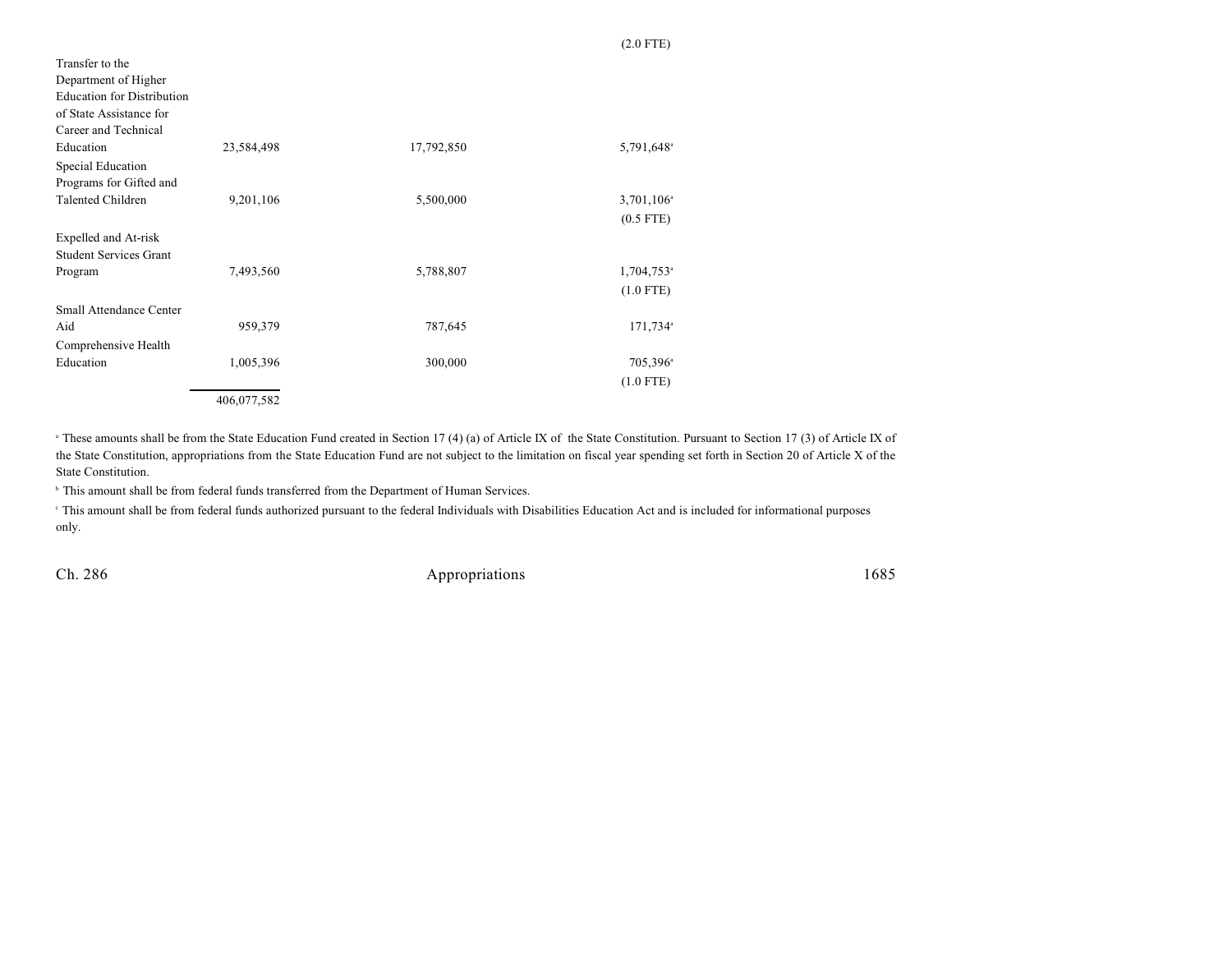| Transfer to the<br>Department of Higher<br><b>Education for Distribution</b><br>of State Assistance for<br>Career and Technical |             |            |                        |
|---------------------------------------------------------------------------------------------------------------------------------|-------------|------------|------------------------|
| Education                                                                                                                       | 23,584,498  | 17,792,850 | 5,791,648 <sup>a</sup> |
| Special Education                                                                                                               |             |            |                        |
| Programs for Gifted and                                                                                                         |             |            |                        |
| Talented Children                                                                                                               | 9,201,106   | 5,500,000  | $3,701,106^{\circ}$    |
|                                                                                                                                 |             |            | $(0.5$ FTE)            |
| Expelled and At-risk                                                                                                            |             |            |                        |
| Student Services Grant                                                                                                          |             |            |                        |
| Program                                                                                                                         | 7,493,560   | 5,788,807  | 1,704,753 <sup>a</sup> |
|                                                                                                                                 |             |            | $(1.0$ FTE)            |
| Small Attendance Center                                                                                                         |             |            |                        |
| Aid                                                                                                                             | 959,379     | 787,645    | 171,734 <sup>a</sup>   |
| Comprehensive Health                                                                                                            |             |            |                        |
| Education                                                                                                                       | 1,005,396   | 300,000    | 705,396 <sup>a</sup>   |
|                                                                                                                                 |             |            | $(1.0$ FTE)            |
|                                                                                                                                 | 406,077,582 |            |                        |

<sup>a</sup> These amounts shall be from the State Education Fund created in Section 17 (4) (a) of Article IX of the State Constitution. Pursuant to Section 17 (3) of Article IX of the State Constitution, appropriations from the State Education Fund are not subject to the limitation on fiscal year spending set forth in Section 20 of Article X of the State Constitution.

<sup>b</sup> This amount shall be from federal funds transferred from the Department of Human Services.

 This amount shall be from federal funds authorized pursuant to the federal Individuals with Disabilities Education Act and is included for informational purposes <sup>c</sup> only.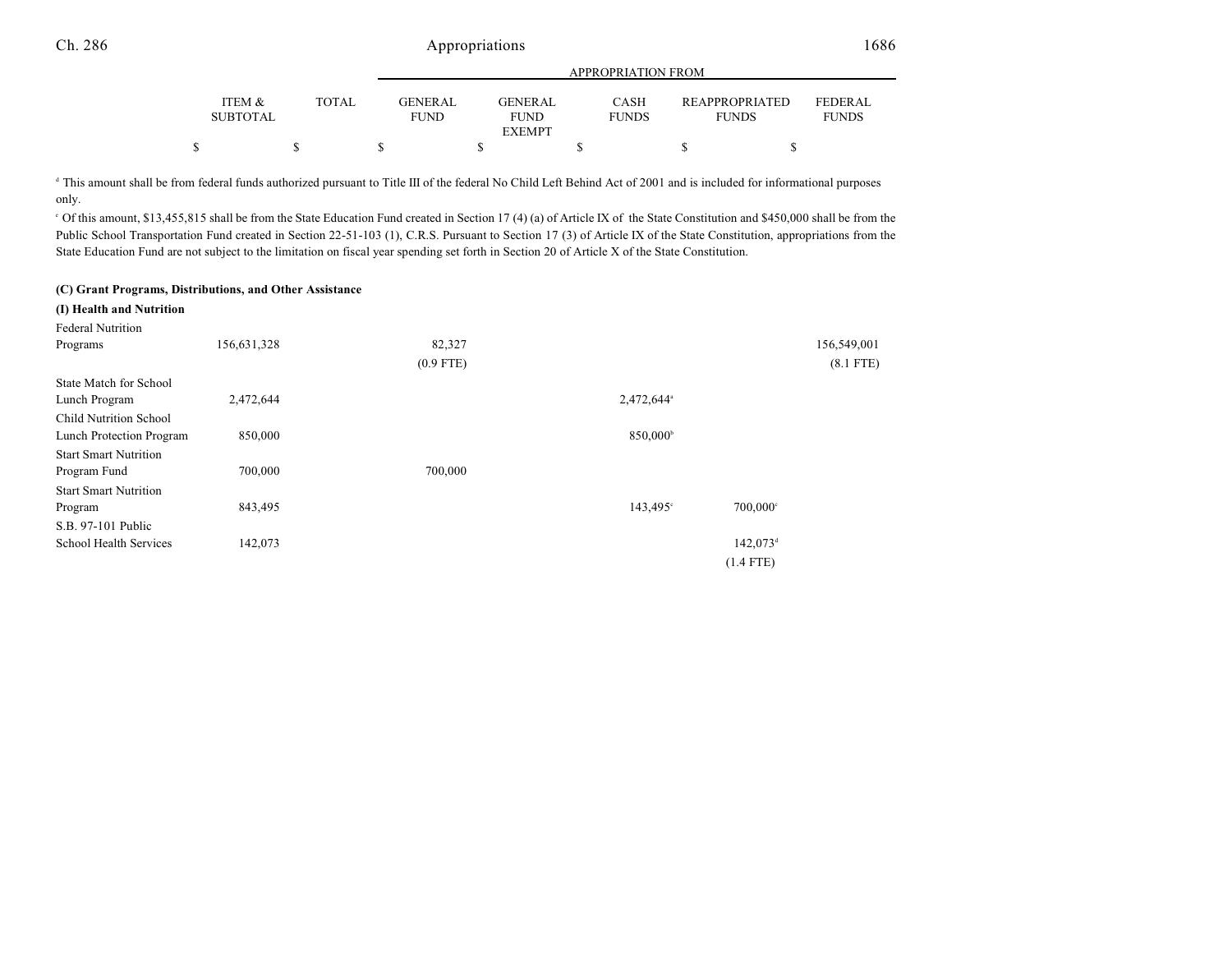|                           |              | APPROPRIATION FROM            |  |                        |  |                             |  |                                       |                                |  |
|---------------------------|--------------|-------------------------------|--|------------------------|--|-----------------------------|--|---------------------------------------|--------------------------------|--|
| ITEM &<br><b>SUBTOTAL</b> | <b>TOTAL</b> | <b>GENERAL</b><br><b>FUND</b> |  | GENERAL<br><b>FUND</b> |  | <b>CASH</b><br><b>FUNDS</b> |  | <b>REAPPROPRIATED</b><br><b>FUNDS</b> | <b>FEDERAL</b><br><b>FUNDS</b> |  |
|                           |              |                               |  | <b>EXEMPT</b>          |  |                             |  |                                       |                                |  |
|                           |              |                               |  |                        |  |                             |  |                                       |                                |  |

<sup>d</sup> This amount shall be from federal funds authorized pursuant to Title III of the federal No Child Left Behind Act of 2001 and is included for informational purposes only.

 $\degree$  Of this amount, \$13,455,815 shall be from the State Education Fund created in Section 17 (4) (a) of Article IX of the State Constitution and \$450,000 shall be from the Public School Transportation Fund created in Section 22-51-103 (1), C.R.S. Pursuant to Section 17 (3) of Article IX of the State Constitution, appropriations from the State Education Fund are not subject to the limitation on fiscal year spending set forth in Section 20 of Article X of the State Constitution.

#### **(C) Grant Programs, Distributions, and Other Assistance**

| (I) Health and Nutrition      |             |             |                        |                        |             |
|-------------------------------|-------------|-------------|------------------------|------------------------|-------------|
| <b>Federal Nutrition</b>      |             |             |                        |                        |             |
| Programs                      | 156,631,328 | 82,327      |                        |                        | 156,549,001 |
|                               |             | $(0.9$ FTE) |                        |                        | $(8.1$ FTE) |
| <b>State Match for School</b> |             |             |                        |                        |             |
| Lunch Program                 | 2,472,644   |             | 2,472,644 <sup>a</sup> |                        |             |
| <b>Child Nutrition School</b> |             |             |                        |                        |             |
| Lunch Protection Program      | 850,000     |             | 850,000 <sup>b</sup>   |                        |             |
| <b>Start Smart Nutrition</b>  |             |             |                        |                        |             |
| Program Fund                  | 700,000     | 700,000     |                        |                        |             |
| <b>Start Smart Nutrition</b>  |             |             |                        |                        |             |
| Program                       | 843,495     |             | $143,495^{\circ}$      | $700,000$ °            |             |
| S.B. 97-101 Public            |             |             |                        |                        |             |
| School Health Services        | 142,073     |             |                        | $142,073$ <sup>d</sup> |             |
|                               |             |             |                        | $(1.4$ FTE)            |             |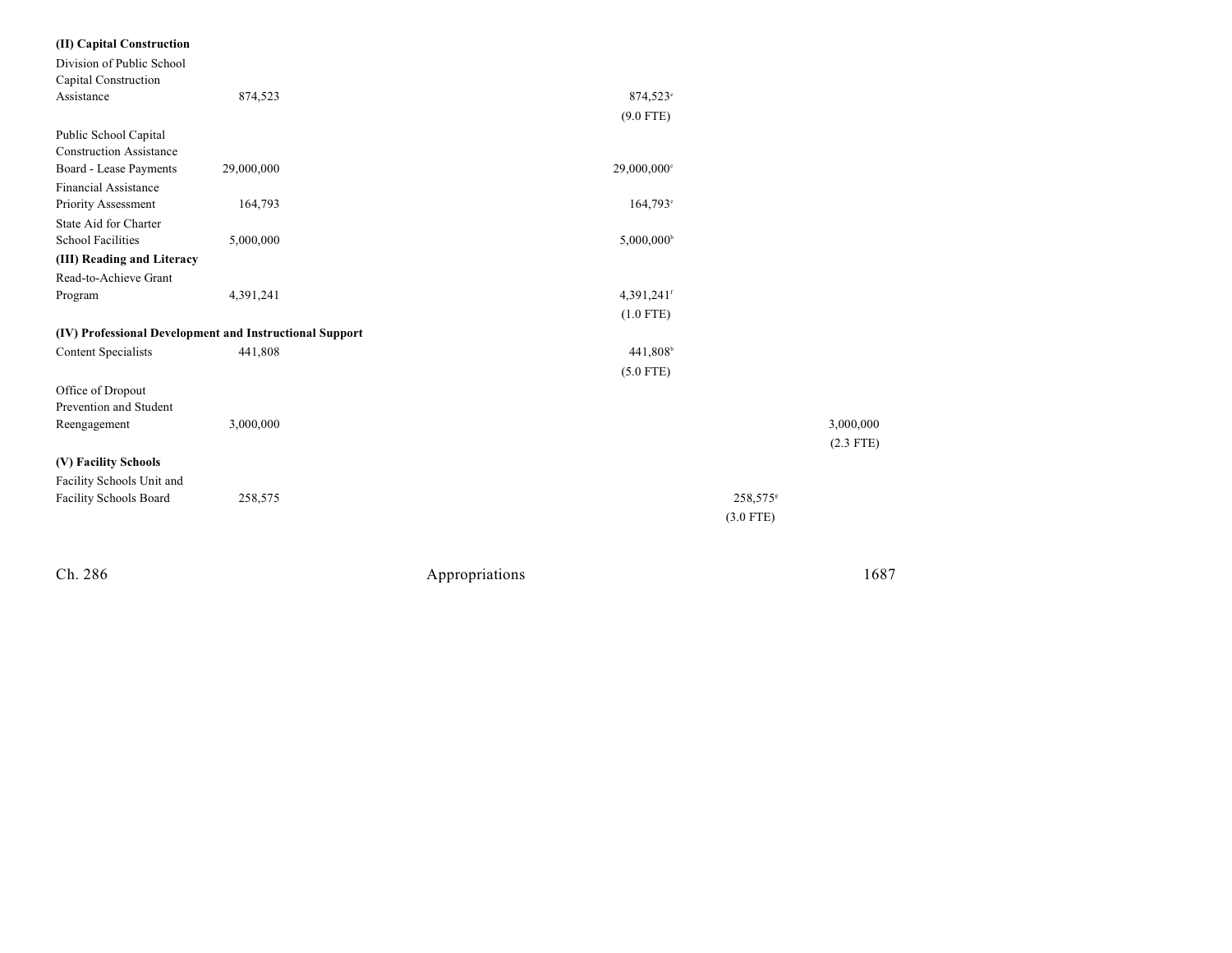| (II) Capital Construction                               |            |                |                        |                      |             |
|---------------------------------------------------------|------------|----------------|------------------------|----------------------|-------------|
| Division of Public School                               |            |                |                        |                      |             |
| Capital Construction                                    |            |                |                        |                      |             |
| Assistance                                              | 874,523    |                | 874,523°               |                      |             |
|                                                         |            |                | $(9.0$ FTE)            |                      |             |
| Public School Capital                                   |            |                |                        |                      |             |
| <b>Construction Assistance</b>                          |            |                |                        |                      |             |
| Board - Lease Payments                                  | 29,000,000 |                | 29,000,000°            |                      |             |
| <b>Financial Assistance</b>                             |            |                |                        |                      |             |
| Priority Assessment                                     | 164,793    |                | 164,793 <sup>e</sup>   |                      |             |
| State Aid for Charter                                   |            |                |                        |                      |             |
| <b>School Facilities</b>                                | 5,000,000  |                | 5,000,000 <sup>b</sup> |                      |             |
| (III) Reading and Literacy                              |            |                |                        |                      |             |
| Read-to-Achieve Grant                                   |            |                |                        |                      |             |
| Program                                                 | 4,391,241  |                | 4,391,241f             |                      |             |
|                                                         |            |                | $(1.0$ FTE)            |                      |             |
| (IV) Professional Development and Instructional Support |            |                |                        |                      |             |
| <b>Content Specialists</b>                              | 441,808    |                | 441,808 <sup>b</sup>   |                      |             |
|                                                         |            |                | $(5.0$ FTE)            |                      |             |
| Office of Dropout                                       |            |                |                        |                      |             |
| Prevention and Student                                  |            |                |                        |                      |             |
| Reengagement                                            | 3,000,000  |                |                        |                      | 3,000,000   |
|                                                         |            |                |                        |                      | $(2.3$ FTE) |
| (V) Facility Schools                                    |            |                |                        |                      |             |
| Facility Schools Unit and                               |            |                |                        |                      |             |
| Facility Schools Board                                  | 258,575    |                |                        | 258,575 <sup>s</sup> |             |
|                                                         |            |                |                        | $(3.0$ FTE)          |             |
|                                                         |            |                |                        |                      |             |
|                                                         |            |                |                        |                      |             |
|                                                         |            |                |                        |                      |             |
| Ch. 286                                                 |            | Appropriations |                        |                      | 1687        |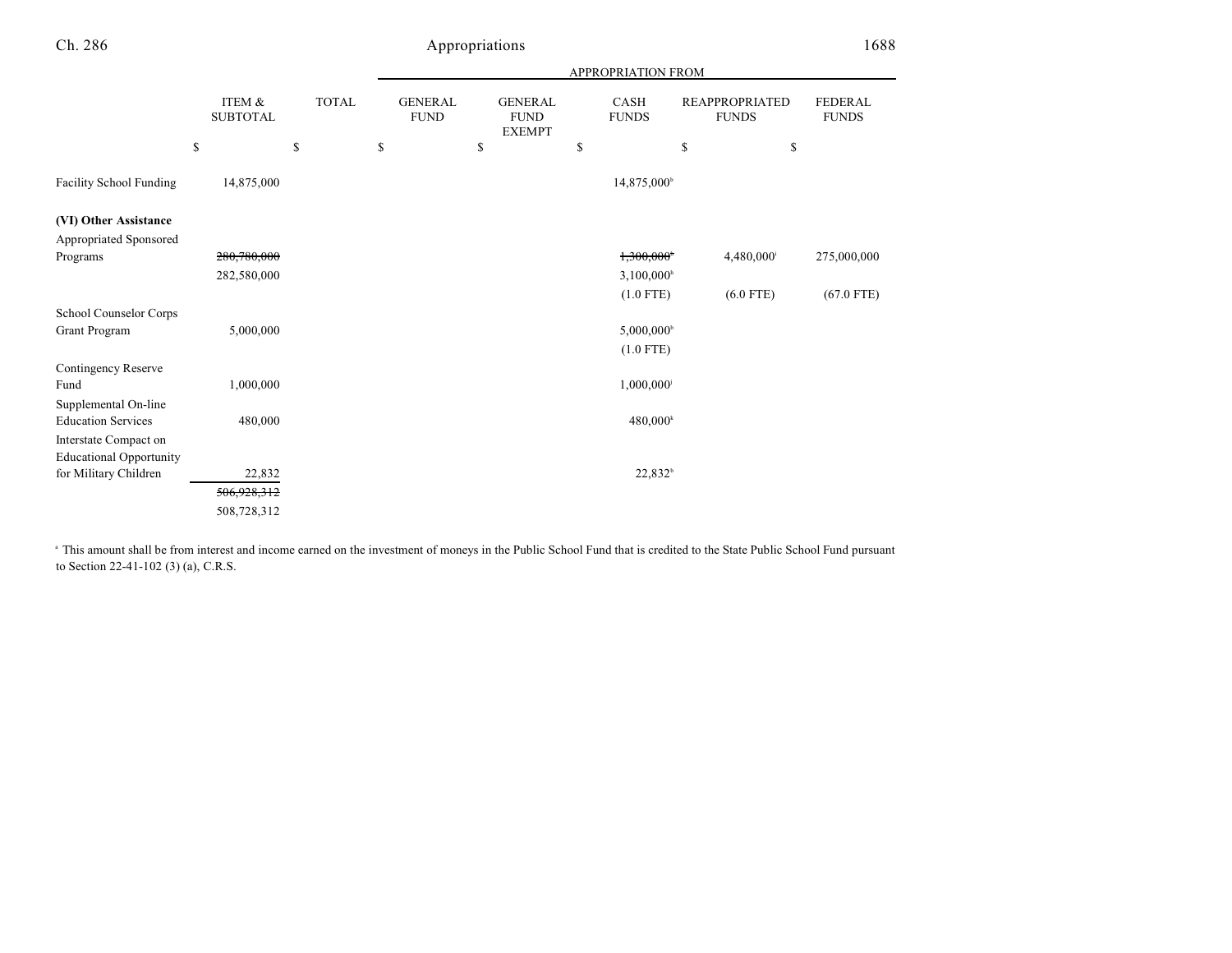|                                |                                 |                    | APPROPRIATION FROM                  |                                                      |                            |                                                   |                         |  |  |  |
|--------------------------------|---------------------------------|--------------------|-------------------------------------|------------------------------------------------------|----------------------------|---------------------------------------------------|-------------------------|--|--|--|
|                                | ITEM &<br><b>SUBTOTAL</b><br>\$ | <b>TOTAL</b><br>\$ | <b>GENERAL</b><br><b>FUND</b><br>\$ | <b>GENERAL</b><br><b>FUND</b><br><b>EXEMPT</b><br>\$ | CASH<br><b>FUNDS</b><br>\$ | <b>REAPPROPRIATED</b><br><b>FUNDS</b><br>\$<br>\$ | FEDERAL<br><b>FUNDS</b> |  |  |  |
|                                |                                 |                    |                                     |                                                      |                            |                                                   |                         |  |  |  |
| Facility School Funding        | 14,875,000                      |                    |                                     |                                                      | 14,875,000 <sup>b</sup>    |                                                   |                         |  |  |  |
| (VI) Other Assistance          |                                 |                    |                                     |                                                      |                            |                                                   |                         |  |  |  |
| Appropriated Sponsored         |                                 |                    |                                     |                                                      |                            |                                                   |                         |  |  |  |
| Programs                       | 280,780,000                     |                    |                                     |                                                      | 1,300,000                  | 4,480,000                                         | 275,000,000             |  |  |  |
|                                | 282,580,000                     |                    |                                     |                                                      | $3,100,000$ <sup>h</sup>   |                                                   |                         |  |  |  |
|                                |                                 |                    |                                     |                                                      | $(1.0$ FTE)                | $(6.0$ FTE)                                       | $(67.0$ FTE)            |  |  |  |
| School Counselor Corps         |                                 |                    |                                     |                                                      |                            |                                                   |                         |  |  |  |
| Grant Program                  | 5,000,000                       |                    |                                     |                                                      | 5,000,000 <sup>b</sup>     |                                                   |                         |  |  |  |
|                                |                                 |                    |                                     |                                                      | $(1.0$ FTE)                |                                                   |                         |  |  |  |
| Contingency Reserve            |                                 |                    |                                     |                                                      |                            |                                                   |                         |  |  |  |
| Fund                           | 1,000,000                       |                    |                                     |                                                      | 1,000,000                  |                                                   |                         |  |  |  |
| Supplemental On-line           |                                 |                    |                                     |                                                      |                            |                                                   |                         |  |  |  |
| <b>Education Services</b>      | 480,000                         |                    |                                     |                                                      | $480,000^k$                |                                                   |                         |  |  |  |
| Interstate Compact on          |                                 |                    |                                     |                                                      |                            |                                                   |                         |  |  |  |
| <b>Educational Opportunity</b> |                                 |                    |                                     |                                                      |                            |                                                   |                         |  |  |  |
| for Military Children          | 22,832                          |                    |                                     |                                                      | 22,832 <sup>b</sup>        |                                                   |                         |  |  |  |
|                                | 506,928,312                     |                    |                                     |                                                      |                            |                                                   |                         |  |  |  |
|                                | 508,728,312                     |                    |                                     |                                                      |                            |                                                   |                         |  |  |  |

<sup>a</sup> This amount shall be from interest and income earned on the investment of moneys in the Public School Fund that is credited to the State Public School Fund pursuant to Section 22-41-102 (3) (a), C.R.S.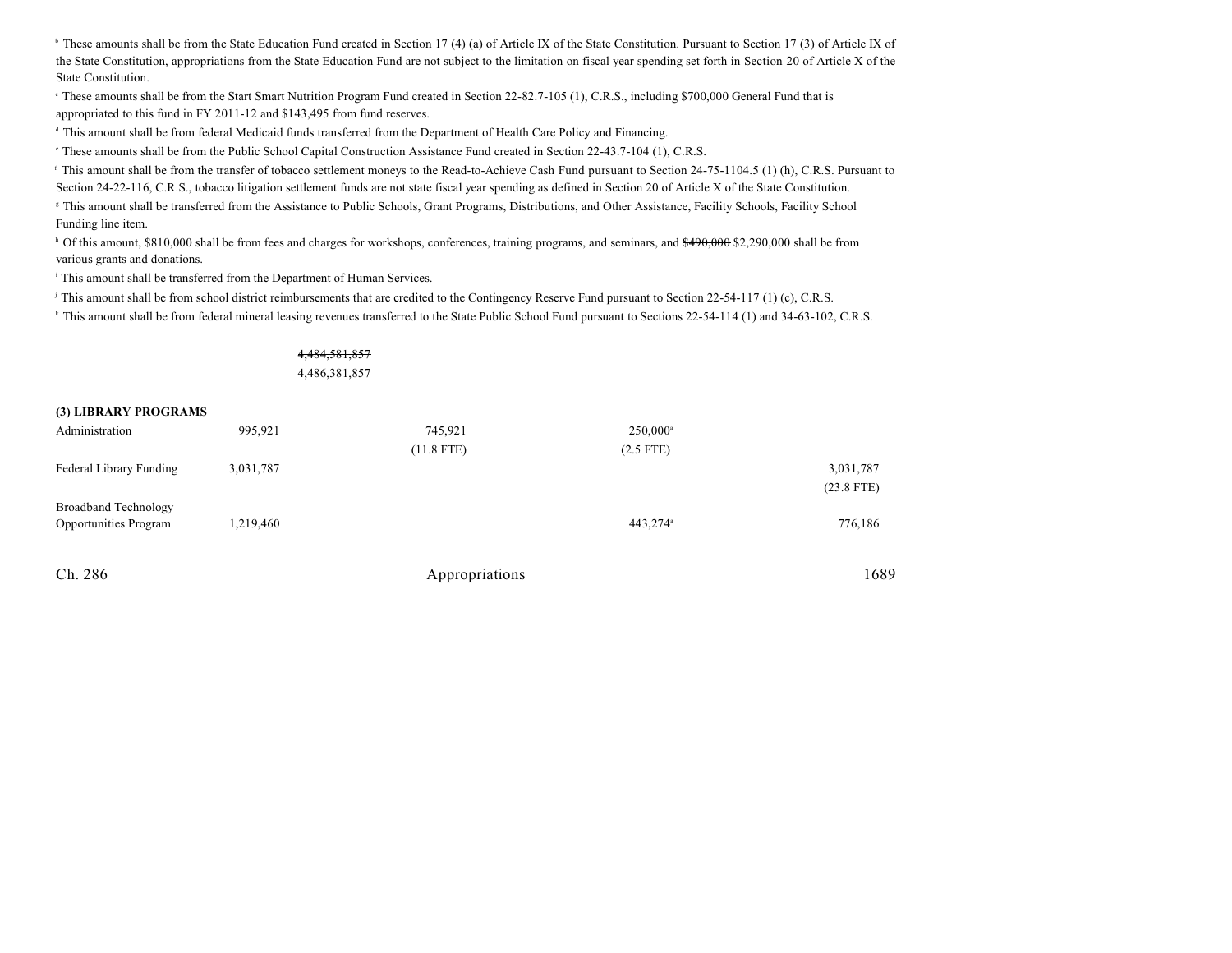<sup>b</sup> These amounts shall be from the State Education Fund created in Section 17 (4) (a) of Article IX of the State Constitution. Pursuant to Section 17 (3) of Article IX of the State Constitution, appropriations from the State Education Fund are not subject to the limitation on fiscal year spending set forth in Section 20 of Article X of the State Constitution.

These amounts shall be from the Start Smart Nutrition Program Fund created in Section 22-82.7-105 (1), C.R.S., including \$700,000 General Fund that is appropriated to this fund in FY 2011-12 and \$143,495 from fund reserves.

<sup>d</sup> This amount shall be from federal Medicaid funds transferred from the Department of Health Care Policy and Financing.

<sup>e</sup> These amounts shall be from the Public School Capital Construction Assistance Fund created in Section 22-43.7-104 (1), C.R.S.

<sup>f</sup> This amount shall be from the transfer of tobacco settlement moneys to the Read-to-Achieve Cash Fund pursuant to Section 24-75-1104.5 (1) (h), C.R.S. Pursuant to Section 24-22-116, C.R.S., tobacco litigation settlement funds are not state fiscal year spending as defined in Section 20 of Article X of the State Constitution.

<sup>8</sup> This amount shall be transferred from the Assistance to Public Schools, Grant Programs, Distributions, and Other Assistance, Facility Schools, Facility School Funding line item.

<sup>h</sup> Of this amount, \$810,000 shall be from fees and charges for workshops, conferences, training programs, and seminars, and \$490,000 \$2,290,000 shall be from various grants and donations.

<sup>i</sup> This amount shall be transferred from the Department of Human Services.

<sup>j</sup> This amount shall be from school district reimbursements that are credited to the Contingency Reserve Fund pursuant to Section 22-54-117 (1) (c), C.R.S.

<sup>k</sup> This amount shall be from federal mineral leasing revenues transferred to the State Public School Fund pursuant to Sections 22-54-114 (1) and 34-63-102, C.R.S.

# 4,484,581,857

4,486,381,857

#### **(3) LIBRARY PROGRAMS**

| Administration                                              | 995,921   | 745,921<br>$(11.8$ FTE) | $250,000^{\circ}$<br>$(2.5$ FTE) |                           |
|-------------------------------------------------------------|-----------|-------------------------|----------------------------------|---------------------------|
| Federal Library Funding                                     | 3,031,787 |                         |                                  | 3,031,787<br>$(23.8$ FTE) |
| <b>Broadband Technology</b><br><b>Opportunities Program</b> | 1,219,460 |                         | 443,274 <sup>a</sup>             | 776,186                   |

| Ch. 286 | Appropriations | 1689 |
|---------|----------------|------|
|         |                |      |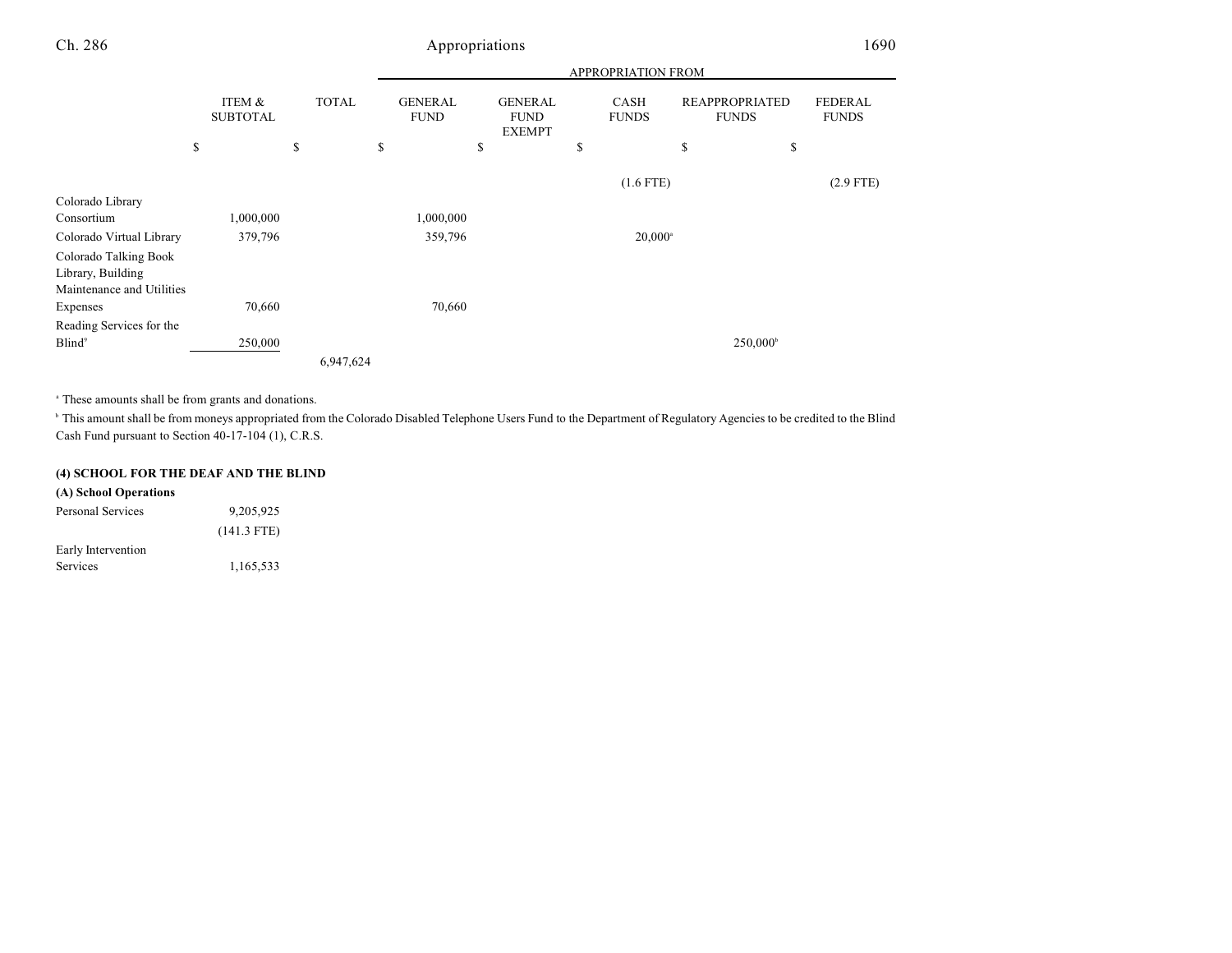|                           |                           |              | APPROPRIATION FROM            |    |                                                |    |                             |    |                                       |                                |  |  |
|---------------------------|---------------------------|--------------|-------------------------------|----|------------------------------------------------|----|-----------------------------|----|---------------------------------------|--------------------------------|--|--|
|                           | ITEM &<br><b>SUBTOTAL</b> | <b>TOTAL</b> | <b>GENERAL</b><br><b>FUND</b> |    | <b>GENERAL</b><br><b>FUND</b><br><b>EXEMPT</b> |    | <b>CASH</b><br><b>FUNDS</b> |    | <b>REAPPROPRIATED</b><br><b>FUNDS</b> | <b>FEDERAL</b><br><b>FUNDS</b> |  |  |
|                           | \$                        | \$           | \$                            | \$ |                                                | \$ |                             | \$ | \$                                    |                                |  |  |
|                           |                           |              |                               |    |                                                |    | $(1.6$ FTE)                 |    |                                       | $(2.9$ FTE)                    |  |  |
| Colorado Library          |                           |              |                               |    |                                                |    |                             |    |                                       |                                |  |  |
| Consortium                | 1,000,000                 |              | 1,000,000                     |    |                                                |    |                             |    |                                       |                                |  |  |
| Colorado Virtual Library  | 379,796                   |              | 359,796                       |    |                                                |    | $20,000^{\circ}$            |    |                                       |                                |  |  |
| Colorado Talking Book     |                           |              |                               |    |                                                |    |                             |    |                                       |                                |  |  |
| Library, Building         |                           |              |                               |    |                                                |    |                             |    |                                       |                                |  |  |
| Maintenance and Utilities |                           |              |                               |    |                                                |    |                             |    |                                       |                                |  |  |
| Expenses                  | 70,660                    |              | 70,660                        |    |                                                |    |                             |    |                                       |                                |  |  |
| Reading Services for the  |                           |              |                               |    |                                                |    |                             |    |                                       |                                |  |  |
| Blind <sup>9</sup>        | 250,000                   |              |                               |    |                                                |    |                             |    | $250,000^{\circ}$                     |                                |  |  |
|                           |                           | 6,947,624    |                               |    |                                                |    |                             |    |                                       |                                |  |  |

<sup>a</sup> These amounts shall be from grants and donations.

<sup>h</sup> This amount shall be from moneys appropriated from the Colorado Disabled Telephone Users Fund to the Department of Regulatory Agencies to be credited to the Blind Cash Fund pursuant to Section 40-17-104 (1), C.R.S.

### **(4) SCHOOL FOR THE DEAF AND THE BLIND**

| (A) School Operations |               |
|-----------------------|---------------|
| Personal Services     | 9,205,925     |
|                       | $(141.3$ FTE) |
| Early Intervention    |               |
| Services              | 1,165,533     |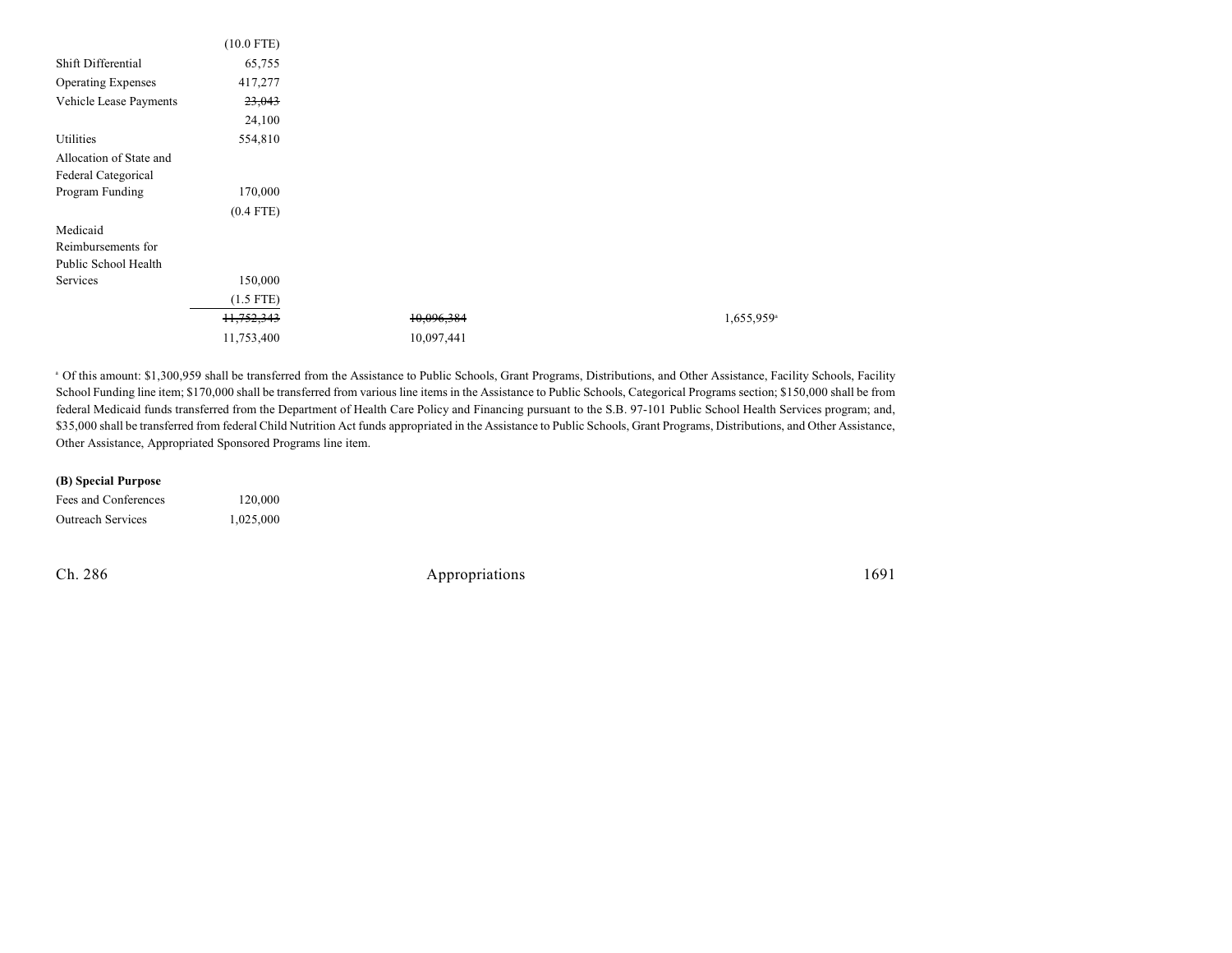|                           | $(10.0$ FTE) |            |                        |
|---------------------------|--------------|------------|------------------------|
| Shift Differential        | 65,755       |            |                        |
| <b>Operating Expenses</b> | 417,277      |            |                        |
| Vehicle Lease Payments    | 23,043       |            |                        |
|                           | 24,100       |            |                        |
| Utilities                 | 554,810      |            |                        |
| Allocation of State and   |              |            |                        |
| Federal Categorical       |              |            |                        |
| Program Funding           | 170,000      |            |                        |
|                           | $(0.4$ FTE)  |            |                        |
| Medicaid                  |              |            |                        |
| Reimbursements for        |              |            |                        |
| Public School Health      |              |            |                        |
| Services                  | 150,000      |            |                        |
|                           | $(1.5$ FTE)  |            |                        |
|                           | 11,752,343   | 10,096,384 | 1,655,959 <sup>a</sup> |
|                           | 11,753,400   | 10,097,441 |                        |

<sup>a</sup> Of this amount: \$1,300,959 shall be transferred from the Assistance to Public Schools, Grant Programs, Distributions, and Other Assistance, Facility Schools, Facility School Funding line item; \$170,000 shall be transferred from various line items in the Assistance to Public Schools, Categorical Programs section; \$150,000 shall be from federal Medicaid funds transferred from the Department of Health Care Policy and Financing pursuant to the S.B. 97-101 Public School Health Services program; and, \$35,000 shall be transferred from federal Child Nutrition Act funds appropriated in the Assistance to Public Schools, Grant Programs, Distributions, and Other Assistance, Other Assistance, Appropriated Sponsored Programs line item.

### **(B) Special Purpose**

| Fees and Conferences     | 120,000   |
|--------------------------|-----------|
| <b>Outreach Services</b> | 1,025,000 |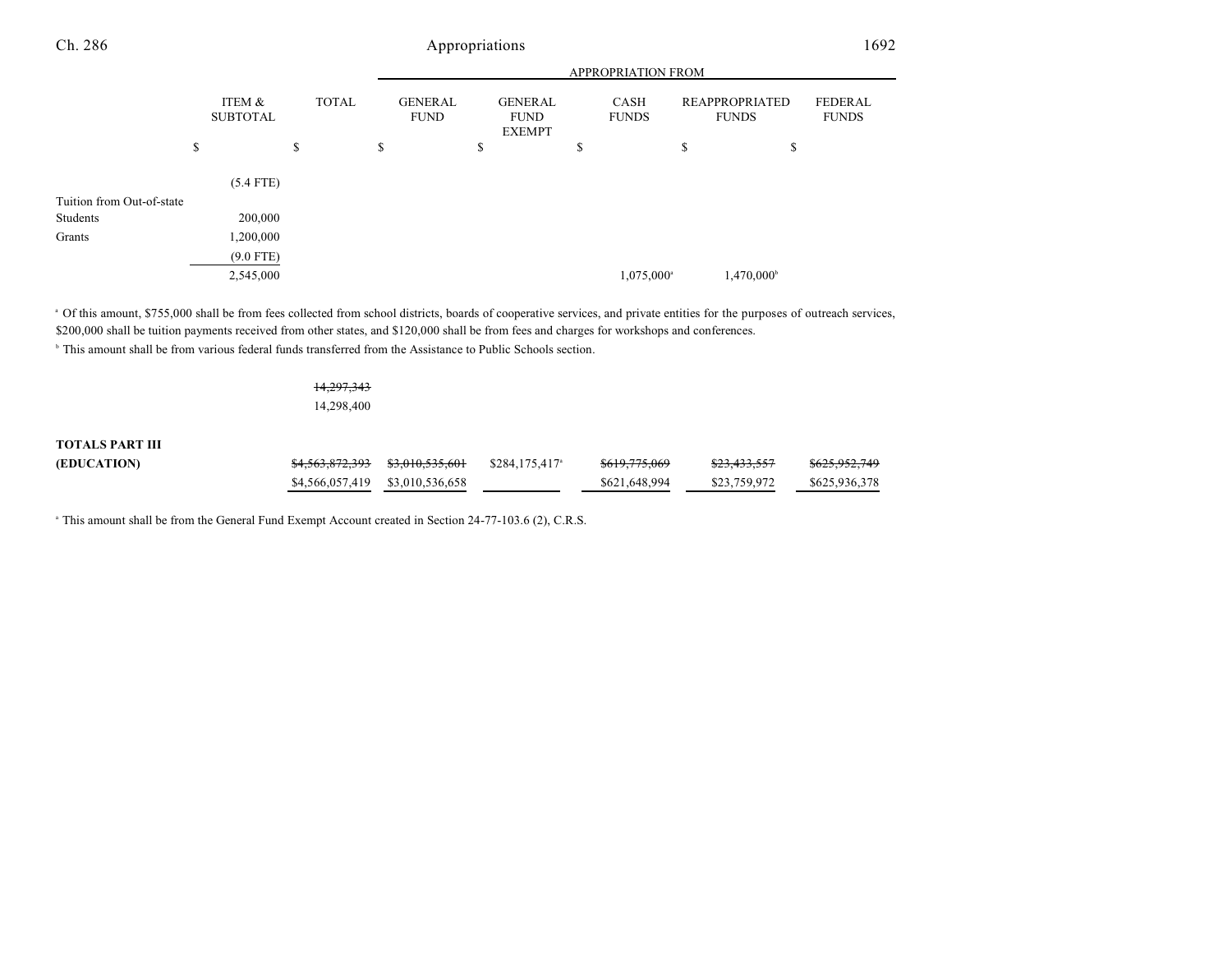# APPROPRIATION FROM Ch. 286 Appropriations 1692

|                           | ITEM &<br><b>SUBTOTAL</b> | <b>TOTAL</b> | <b>GENERAL</b><br><b>FUND</b> |         | <b>GENERAL</b><br><b>FUND</b><br><b>EXEMPT</b> |   | <b>CASH</b><br><b>FUNDS</b> | <b>REAPPROPRIATED</b><br><b>FUNDS</b> | <b>FEDERAL</b><br><b>FUNDS</b> |
|---------------------------|---------------------------|--------------|-------------------------------|---------|------------------------------------------------|---|-----------------------------|---------------------------------------|--------------------------------|
|                           | \$                        | \$           | \$                            | Φ<br>J. |                                                | P |                             | \$<br>\$                              |                                |
|                           | $(5.4$ FTE)               |              |                               |         |                                                |   |                             |                                       |                                |
| Tuition from Out-of-state |                           |              |                               |         |                                                |   |                             |                                       |                                |
| Students                  | 200,000                   |              |                               |         |                                                |   |                             |                                       |                                |
| Grants                    | 1,200,000                 |              |                               |         |                                                |   |                             |                                       |                                |
|                           | $(9.0$ FTE)               |              |                               |         |                                                |   |                             |                                       |                                |
|                           | 2,545,000                 |              |                               |         |                                                |   | 1,075,000 <sup>a</sup>      | 1,470,000 <sup>b</sup>                |                                |

<sup>a</sup> Of this amount, \$755,000 shall be from fees collected from school districts, boards of cooperative services, and private entities for the purposes of outreach services, \$200,000 shall be tuition payments received from other states, and \$120,000 shall be from fees and charges for workshops and conferences.

<sup>b</sup> This amount shall be from various federal funds transferred from the Assistance to Public Schools section.

# 14,297,343

14,298,400

## **TOTALS PART III**

| (EDUCATION) |                                 | \$284,175,417 <sup>a</sup> | <del>\$619,775,069</del> | <del>\$23,433,557</del> | <del>\$625,952,749</del> |
|-------------|---------------------------------|----------------------------|--------------------------|-------------------------|--------------------------|
|             | \$4,566,057,419 \$3,010,536,658 |                            | \$621,648,994            | \$23,759,972            | \$625,936,378            |

<sup>a</sup> This amount shall be from the General Fund Exempt Account created in Section 24-77-103.6 (2), C.R.S.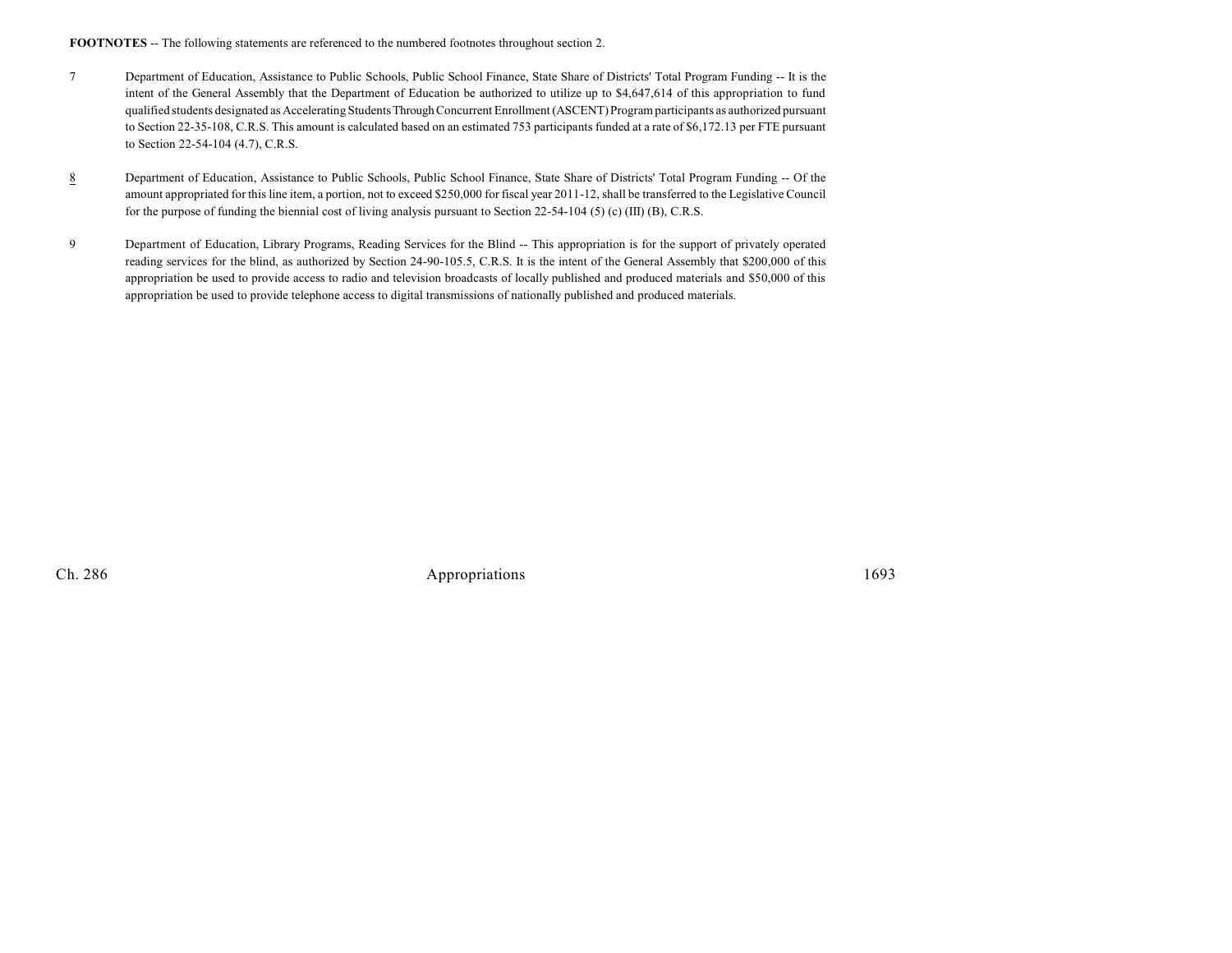FOOTNOTES -- The following statements are referenced to the numbered footnotes throughout section 2.

- 7 Department of Education, Assistance to Public Schools, Public School Finance, State Share of Districts' Total Program Funding -- It is the intent of the General Assembly that the Department of Education be authorized to utilize up to \$4,647,614 of this appropriation to fund qualified students designated as Accelerating StudentsThrough Concurrent Enrollment (ASCENT) Program participants as authorized pursuant to Section 22-35-108, C.R.S. This amount is calculated based on an estimated 753 participants funded at a rate of \$6,172.13 per FTE pursuant to Section 22-54-104 (4.7), C.R.S.
- 8 Department of Education, Assistance to Public Schools, Public School Finance, State Share of Districts' Total Program Funding -- Of the amount appropriated for this line item, a portion, not to exceed \$250,000 for fiscal year 2011-12, shall be transferred to the Legislative Council for the purpose of funding the biennial cost of living analysis pursuant to Section 22-54-104 (5) (c) (III) (B), C.R.S.
- 9 Department of Education, Library Programs, Reading Services for the Blind -- This appropriation is for the support of privately operated reading services for the blind, as authorized by Section 24-90-105.5, C.R.S. It is the intent of the General Assembly that \$200,000 of this appropriation be used to provide access to radio and television broadcasts of locally published and produced materials and \$50,000 of this appropriation be used to provide telephone access to digital transmissions of nationally published and produced materials.